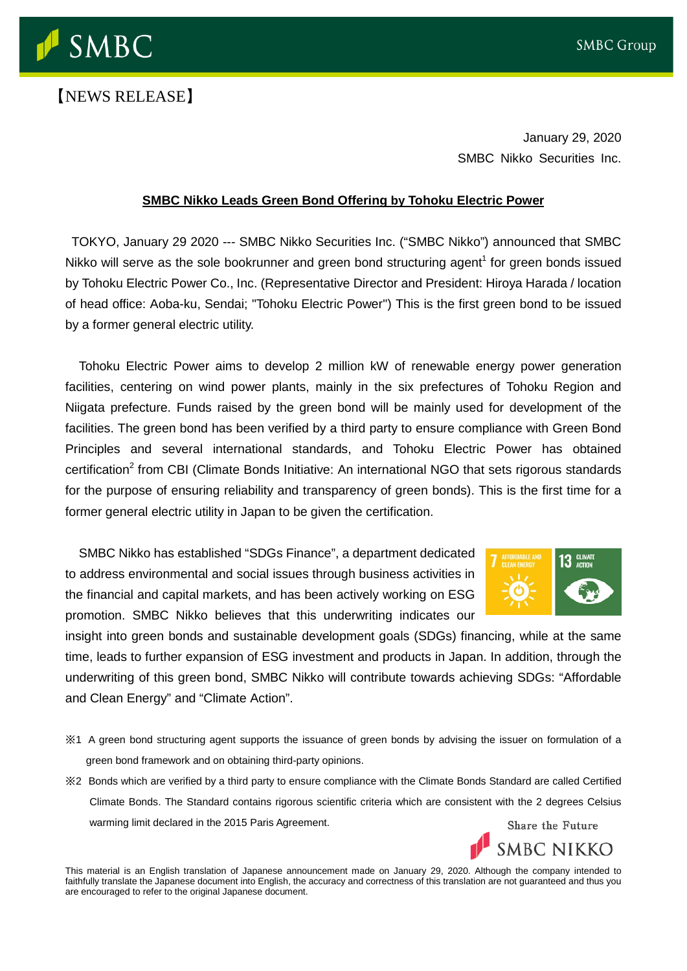

## 【NEWS RELEASE】

January 29, 2020 SMBC Nikko Securities Inc.

## **SMBC Nikko Leads Green Bond Offering by Tohoku Electric Power**

TOKYO, January 29 2020 --- SMBC Nikko Securities Inc. ("SMBC Nikko") announced that SMBC Nikko will serve as the sole bookrunner and green bond structuring agent<sup>1</sup> for green bonds issued by Tohoku Electric Power Co., Inc. (Representative Director and President: Hiroya Harada / location of head office: Aoba-ku, Sendai; "Tohoku Electric Power") This is the first green bond to be issued by a former general electric utility.

Tohoku Electric Power aims to develop 2 million kW of renewable energy power generation facilities, centering on wind power plants, mainly in the six prefectures of Tohoku Region and Niigata prefecture. Funds raised by the green bond will be mainly used for development of the facilities. The green bond has been verified by a third party to ensure compliance with Green Bond Principles and several international standards, and Tohoku Electric Power has obtained certification<sup>2</sup> from CBI (Climate Bonds Initiative: An international NGO that sets rigorous standards for the purpose of ensuring reliability and transparency of green bonds). This is the first time for a former general electric utility in Japan to be given the certification.

SMBC Nikko has established "SDGs Finance", a department dedicated to address environmental and social issues through business activities in the financial and capital markets, and has been actively working on ESG promotion. SMBC Nikko believes that this underwriting indicates our



SMBC NIKKO

insight into green bonds and sustainable development goals (SDGs) financing, while at the same time, leads to further expansion of ESG investment and products in Japan. In addition, through the underwriting of this green bond, SMBC Nikko will contribute towards achieving SDGs: "Affordable and Clean Energy" and "Climate Action".

- ※1 A green bond structuring agent supports the issuance of green bonds by advising the issuer on formulation of a green bond framework and on obtaining third-party opinions.
- ※2 Bonds which are verified by a third party to ensure compliance with the Climate Bonds Standard are called Certified Climate Bonds. The Standard contains rigorous scientific criteria which are consistent with the 2 degrees Celsius warming limit declared in the 2015 Paris Agreement. Share the Future

This material is an English translation of Japanese announcement made on January 29, 2020. Although the company intended to faithfully translate the Japanese document into English, the accuracy and correctness of this translation are not guaranteed and thus you are encouraged to refer to the original Japanese document.